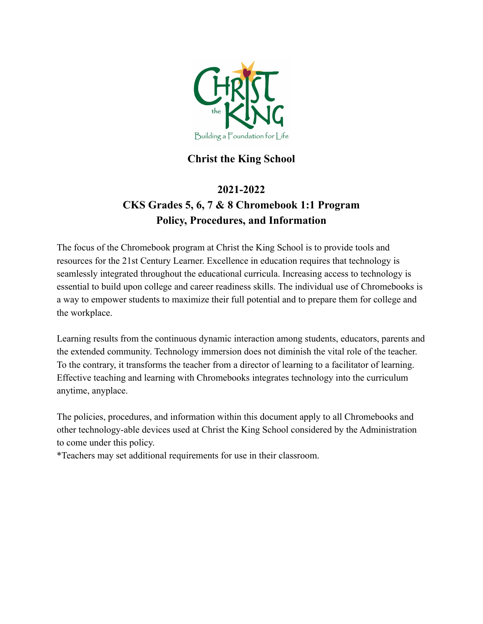

# **Christ the King School**

# **2021-2022 CKS Grades 5, 6, 7 & 8 Chromebook 1:1 Program Policy, Procedures, and Information**

The focus of the Chromebook program at Christ the King School is to provide tools and resources for the 21st Century Learner. Excellence in education requires that technology is seamlessly integrated throughout the educational curricula. Increasing access to technology is essential to build upon college and career readiness skills. The individual use of Chromebooks is a way to empower students to maximize their full potential and to prepare them for college and the workplace.

Learning results from the continuous dynamic interaction among students, educators, parents and the extended community. Technology immersion does not diminish the vital role of the teacher. To the contrary, it transforms the teacher from a director of learning to a facilitator of learning. Effective teaching and learning with Chromebooks integrates technology into the curriculum anytime, anyplace.

The policies, procedures, and information within this document apply to all Chromebooks and other technology-able devices used at Christ the King School considered by the Administration to come under this policy.

\*Teachers may set additional requirements for use in their classroom.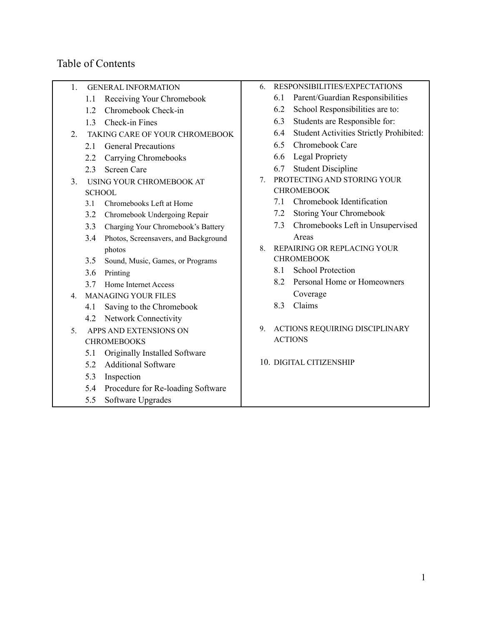# Table of Contents

1. GENERAL INFORMATION

- 1.1 Receiving Your Chromebook 1.2 Chromebook Check-in 1.3 Check-in Fines 2. TAKING CARE OF YOUR CHROMEBOOK 2.1 General Precautions 2.2 Carrying Chromebooks 2.3 Screen Care 3. USING YOUR CHROMEBOOK AT **SCHOOL** 3.1 Chromebooks Left at Home 3.2 Chromebook Undergoing Repair 3.3 Charging Your Chromebook's Battery 3.4 Photos, Screensavers, and Background photos 3.5 Sound, Music, Games, or Programs 3.6 Printing 3.7 Home Internet Access 4. MANAGING YOUR FILES 4.1 Saving to the Chromebook 4.2 Network Connectivity 5. APPS AND EXTENSIONS ON **CHROMEBOOKS** 5.1 Originally Installed Software 5.2 Additional Software 5.3 Inspection 5.4 Procedure for Re-loading Software 5.5 Software Upgrades
- 6. RESPONSIBILITIES/EXPECTATIONS
	- 6.1 Parent/Guardian Responsibilities
	- 6.2 School Responsibilities are to:
	- 6.3 Students are Responsible for:
	- 6.4 Student Activities Strictly Prohibited:
	- 6.5 Chromebook Care
	- 6.6 Legal Propriety
	- 6.7 Student Discipline
- 7. PROTECTING AND STORING YOUR CHROMEBOOK
	- 7.1 Chromebook Identification
	- 7.2 Storing Your Chromebook
	- 7.3 Chromebooks Left in Unsupervised Areas
- 8. REPAIRING OR REPLACING YOUR CHROMEBOOK
	- 8.1 School Protection
	- 8.2 Personal Home or Homeowners Coverage
	- 8.3 Claims
- 9. ACTIONS REQUIRING DISCIPLINARY ACTIONS
- 10. DIGITAL CITIZENSHIP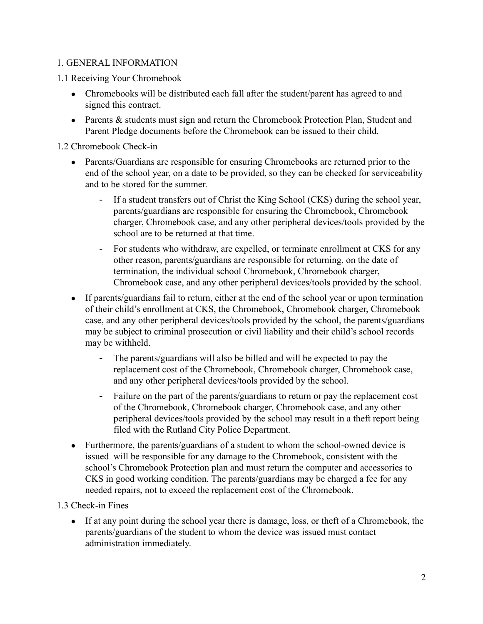## 1. GENERAL INFORMATION

- 1.1 Receiving Your Chromebook
	- Chromebooks will be distributed each fall after the student/parent has agreed to and signed this contract.
	- Parents & students must sign and return the Chromebook Protection Plan, Student and Parent Pledge documents before the Chromebook can be issued to their child.

1.2 Chromebook Check-in

- Parents/Guardians are responsible for ensuring Chromebooks are returned prior to the end of the school year, on a date to be provided, so they can be checked for serviceability and to be stored for the summer.
	- If a student transfers out of Christ the King School (CKS) during the school year, parents/guardians are responsible for ensuring the Chromebook, Chromebook charger, Chromebook case, and any other peripheral devices/tools provided by the school are to be returned at that time.
	- For students who withdraw, are expelled, or terminate enrollment at CKS for any other reason, parents/guardians are responsible for returning, on the date of termination, the individual school Chromebook, Chromebook charger, Chromebook case, and any other peripheral devices/tools provided by the school.
- If parents/guardians fail to return, either at the end of the school year or upon termination of their child's enrollment at CKS, the Chromebook, Chromebook charger, Chromebook case, and any other peripheral devices/tools provided by the school, the parents/guardians may be subject to criminal prosecution or civil liability and their child's school records may be withheld.
	- The parents/guardians will also be billed and will be expected to pay the replacement cost of the Chromebook, Chromebook charger, Chromebook case, and any other peripheral devices/tools provided by the school.
	- Failure on the part of the parents/guardians to return or pay the replacement cost of the Chromebook, Chromebook charger, Chromebook case, and any other peripheral devices/tools provided by the school may result in a theft report being filed with the Rutland City Police Department.
- Furthermore, the parents/guardians of a student to whom the school-owned device is issued will be responsible for any damage to the Chromebook, consistent with the school's Chromebook Protection plan and must return the computer and accessories to CKS in good working condition. The parents/guardians may be charged a fee for any needed repairs, not to exceed the replacement cost of the Chromebook.

#### 1.3 Check-in Fines

• If at any point during the school year there is damage, loss, or theft of a Chromebook, the parents/guardians of the student to whom the device was issued must contact administration immediately.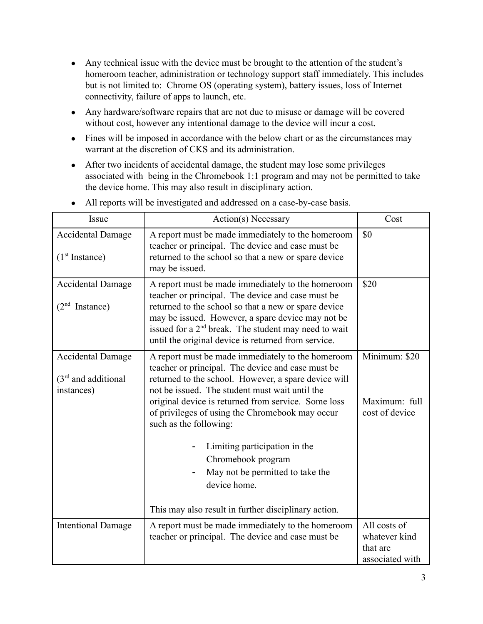- Any technical issue with the device must be brought to the attention of the student's homeroom teacher, administration or technology support staff immediately. This includes but is not limited to: Chrome OS (operating system), battery issues, loss of Internet connectivity, failure of apps to launch, etc.
- Any hardware/software repairs that are not due to misuse or damage will be covered without cost, however any intentional damage to the device will incur a cost.
- Fines will be imposed in accordance with the below chart or as the circumstances may warrant at the discretion of CKS and its administration.
- After two incidents of accidental damage, the student may lose some privileges associated with being in the Chromebook 1:1 program and may not be permitted to take the device home. This may also result in disciplinary action.

| Issue                                                           | Action(s) Necessary                                                                                                                                                                                                                                                                                                                                                                                                                                                                                                     | Cost                                                         |
|-----------------------------------------------------------------|-------------------------------------------------------------------------------------------------------------------------------------------------------------------------------------------------------------------------------------------------------------------------------------------------------------------------------------------------------------------------------------------------------------------------------------------------------------------------------------------------------------------------|--------------------------------------------------------------|
| <b>Accidental Damage</b><br>(1 <sup>st</sup> Instance)          | A report must be made immediately to the homeroom<br>teacher or principal. The device and case must be<br>returned to the school so that a new or spare device<br>may be issued.                                                                                                                                                                                                                                                                                                                                        | \$0                                                          |
| <b>Accidental Damage</b><br>(2 <sup>nd</sup><br>Instance)       | A report must be made immediately to the homeroom<br>teacher or principal. The device and case must be<br>returned to the school so that a new or spare device<br>may be issued. However, a spare device may not be<br>issued for a 2 <sup>nd</sup> break. The student may need to wait<br>until the original device is returned from service.                                                                                                                                                                          | \$20                                                         |
| <b>Accidental Damage</b><br>$(3rd$ and additional<br>instances) | A report must be made immediately to the homeroom<br>teacher or principal. The device and case must be<br>returned to the school. However, a spare device will<br>not be issued. The student must wait until the<br>original device is returned from service. Some loss<br>of privileges of using the Chromebook may occur<br>such as the following:<br>Limiting participation in the<br>Chromebook program<br>May not be permitted to take the<br>device home.<br>This may also result in further disciplinary action. | Minimum: \$20<br>Maximum: full<br>cost of device             |
| <b>Intentional Damage</b>                                       | A report must be made immediately to the homeroom<br>teacher or principal. The device and case must be                                                                                                                                                                                                                                                                                                                                                                                                                  | All costs of<br>whatever kind<br>that are<br>associated with |

● All reports will be investigated and addressed on a case-by-case basis.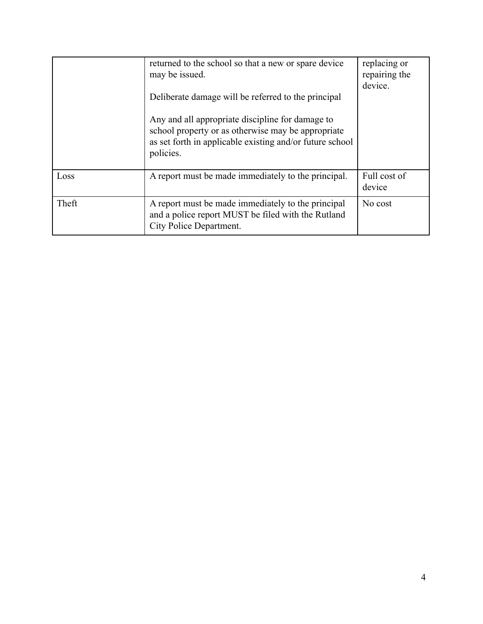|       | returned to the school so that a new or spare device<br>may be issued.<br>Deliberate damage will be referred to the principal<br>Any and all appropriate discipline for damage to<br>school property or as otherwise may be appropriate<br>as set forth in applicable existing and/or future school<br>policies. | replacing or<br>repairing the<br>device. |
|-------|------------------------------------------------------------------------------------------------------------------------------------------------------------------------------------------------------------------------------------------------------------------------------------------------------------------|------------------------------------------|
| Loss  | A report must be made immediately to the principal.                                                                                                                                                                                                                                                              | Full cost of<br>device                   |
| Theft | A report must be made immediately to the principal<br>and a police report MUST be filed with the Rutland<br>City Police Department.                                                                                                                                                                              | No cost                                  |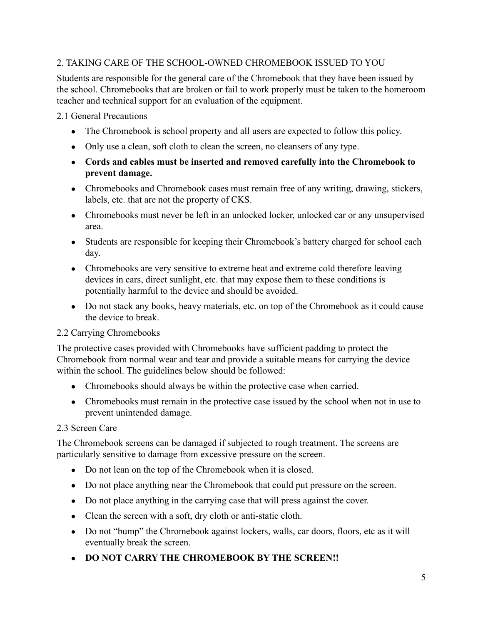# 2. TAKING CARE OF THE SCHOOL-OWNED CHROMEBOOK ISSUED TO YOU

Students are responsible for the general care of the Chromebook that they have been issued by the school. Chromebooks that are broken or fail to work properly must be taken to the homeroom teacher and technical support for an evaluation of the equipment.

2.1 General Precautions

- The Chromebook is school property and all users are expected to follow this policy.
- Only use a clean, soft cloth to clean the screen, no cleansers of any type.
- **● Cords and cables must be inserted and removed carefully into the Chromebook to prevent damage.**
- Chromebooks and Chromebook cases must remain free of any writing, drawing, stickers, labels, etc. that are not the property of CKS.
- Chromebooks must never be left in an unlocked locker, unlocked car or any unsupervised area.
- Students are responsible for keeping their Chromebook's battery charged for school each day.
- Chromebooks are very sensitive to extreme heat and extreme cold therefore leaving devices in cars, direct sunlight, etc. that may expose them to these conditions is potentially harmful to the device and should be avoided.
- Do not stack any books, heavy materials, etc. on top of the Chromebook as it could cause the device to break.

# 2.2 Carrying Chromebooks

The protective cases provided with Chromebooks have sufficient padding to protect the Chromebook from normal wear and tear and provide a suitable means for carrying the device within the school. The guidelines below should be followed:

- Chromebooks should always be within the protective case when carried.
- Chromebooks must remain in the protective case issued by the school when not in use to prevent unintended damage.

# 2.3 Screen Care

The Chromebook screens can be damaged if subjected to rough treatment. The screens are particularly sensitive to damage from excessive pressure on the screen.

- Do not lean on the top of the Chromebook when it is closed.
- Do not place anything near the Chromebook that could put pressure on the screen.
- Do not place anything in the carrying case that will press against the cover.
- Clean the screen with a soft, dry cloth or anti-static cloth.
- Do not "bump" the Chromebook against lockers, walls, car doors, floors, etc as it will eventually break the screen.
- **● DO NOT CARRY THE CHROMEBOOK BY THE SCREEN!!**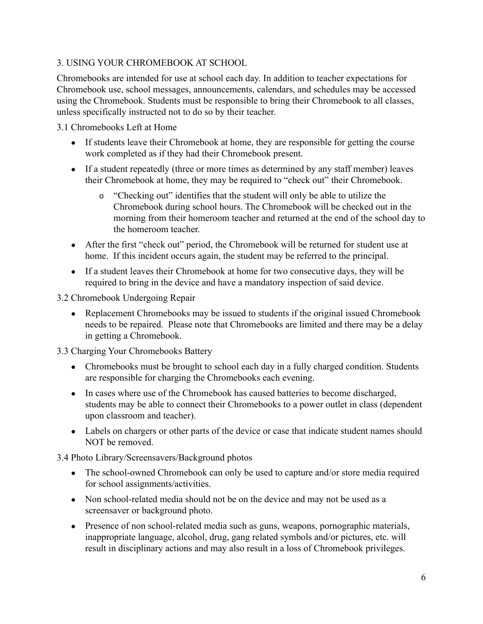# 3. USING YOUR CHROMEBOOK AT SCHOOL

Chromebooks are intended for use at school each day. In addition to teacher expectations for Chromebook use, school messages, announcements, calendars, and schedules may be accessed using the Chromebook. Students must be responsible to bring their Chromebook to all classes, unless specifically instructed not to do so by their teacher.

3.1 Chromebooks Left at Home

- If students leave their Chromebook at home, they are responsible for getting the course work completed as if they had their Chromebook present.
- If a student repeatedly (three or more times as determined by any staff member) leaves their Chromebook at home, they may be required to "check out" their Chromebook.
	- o "Checking out" identifies that the student will only be able to utilize the Chromebook during school hours. The Chromebook will be checked out in the morning from their homeroom teacher and returned at the end of the school day to the homeroom teacher.
- After the first "check out" period, the Chromebook will be returned for student use at home. If this incident occurs again, the student may be referred to the principal.
- If a student leaves their Chromebook at home for two consecutive days, they will be required to bring in the device and have a mandatory inspection of said device.

## 3.2 Chromebook Undergoing Repair

• Replacement Chromebooks may be issued to students if the original issued Chromebook needs to be repaired. Please note that Chromebooks are limited and there may be a delay in getting a Chromebook.

# 3.3 Charging Your Chromebooks Battery

- Chromebooks must be brought to school each day in a fully charged condition. Students are responsible for charging the Chromebooks each evening.
- In cases where use of the Chromebook has caused batteries to become discharged, students may be able to connect their Chromebooks to a power outlet in class (dependent upon classroom and teacher).
- Labels on chargers or other parts of the device or case that indicate student names should NOT be removed.

3.4 Photo Library/Screensavers/Background photos

- The school-owned Chromebook can only be used to capture and/or store media required for school assignments/activities.
- Non school-related media should not be on the device and may not be used as a screensaver or background photo.
- Presence of non school-related media such as guns, weapons, pornographic materials, inappropriate language, alcohol, drug, gang related symbols and/or pictures, etc. will result in disciplinary actions and may also result in a loss of Chromebook privileges.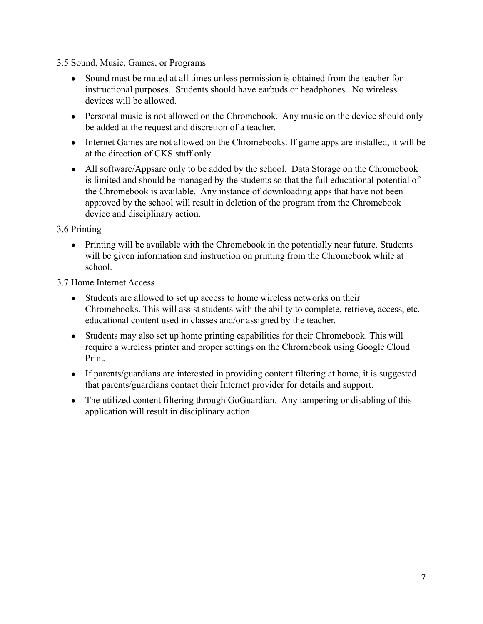3.5 Sound, Music, Games, or Programs

- Sound must be muted at all times unless permission is obtained from the teacher for instructional purposes. Students should have earbuds or headphones. No wireless devices will be allowed.
- Personal music is not allowed on the Chromebook. Any music on the device should only be added at the request and discretion of a teacher.
- Internet Games are not allowed on the Chromebooks. If game apps are installed, it will be at the direction of CKS staff only.
- All software/Appsare only to be added by the school. Data Storage on the Chromebook is limited and should be managed by the students so that the full educational potential of the Chromebook is available. Any instance of downloading apps that have not been approved by the school will result in deletion of the program from the Chromebook device and disciplinary action.

3.6 Printing

• Printing will be available with the Chromebook in the potentially near future. Students will be given information and instruction on printing from the Chromebook while at school.

3.7 Home Internet Access

- Students are allowed to set up access to home wireless networks on their Chromebooks. This will assist students with the ability to complete, retrieve, access, etc. educational content used in classes and/or assigned by the teacher.
- Students may also set up home printing capabilities for their Chromebook. This will require a wireless printer and proper settings on the Chromebook using Google Cloud Print.
- If parents/guardians are interested in providing content filtering at home, it is suggested that parents/guardians contact their Internet provider for details and support.
- The utilized content filtering through GoGuardian. Any tampering or disabling of this application will result in disciplinary action.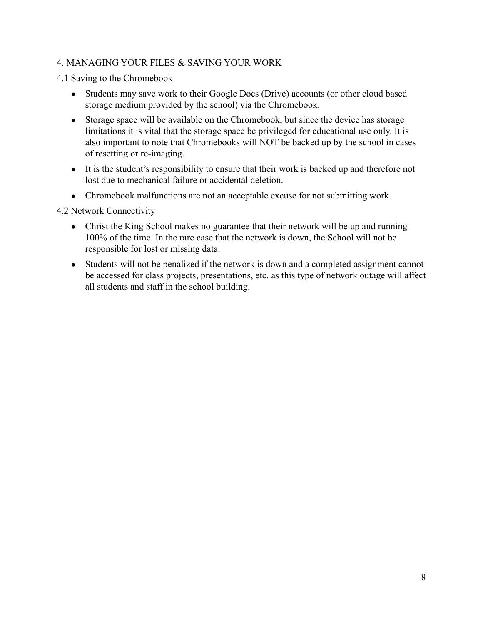#### 4. MANAGING YOUR FILES & SAVING YOUR WORK

4.1 Saving to the Chromebook

- Students may save work to their Google Docs (Drive) accounts (or other cloud based storage medium provided by the school) via the Chromebook.
- Storage space will be available on the Chromebook, but since the device has storage limitations it is vital that the storage space be privileged for educational use only. It is also important to note that Chromebooks will NOT be backed up by the school in cases of resetting or re-imaging.
- It is the student's responsibility to ensure that their work is backed up and therefore not lost due to mechanical failure or accidental deletion.
- Chromebook malfunctions are not an acceptable excuse for not submitting work.

4.2 Network Connectivity

- Christ the King School makes no guarantee that their network will be up and running 100% of the time. In the rare case that the network is down, the School will not be responsible for lost or missing data.
- Students will not be penalized if the network is down and a completed assignment cannot be accessed for class projects, presentations, etc. as this type of network outage will affect all students and staff in the school building.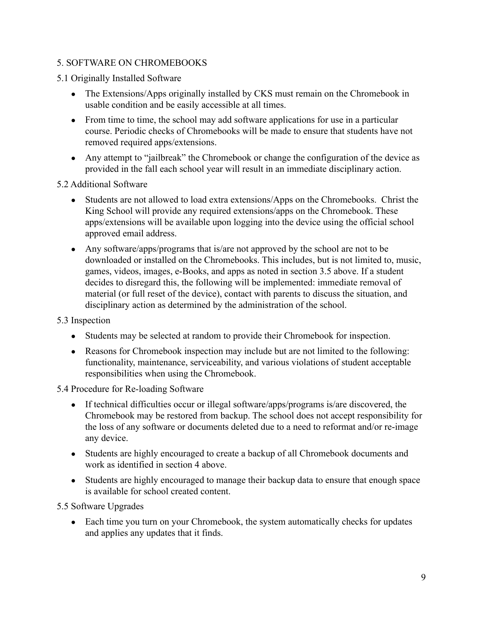## 5. SOFTWARE ON CHROMEBOOKS

- 5.1 Originally Installed Software
	- The Extensions/Apps originally installed by CKS must remain on the Chromebook in usable condition and be easily accessible at all times.
	- From time to time, the school may add software applications for use in a particular course. Periodic checks of Chromebooks will be made to ensure that students have not removed required apps/extensions.
	- Any attempt to "jailbreak" the Chromebook or change the configuration of the device as provided in the fall each school year will result in an immediate disciplinary action.

5.2 Additional Software

- Students are not allowed to load extra extensions/Apps on the Chromebooks. Christ the King School will provide any required extensions/apps on the Chromebook. These apps/extensions will be available upon logging into the device using the official school approved email address.
- Any software/apps/programs that is/are not approved by the school are not to be downloaded or installed on the Chromebooks. This includes, but is not limited to, music, games, videos, images, e-Books, and apps as noted in section 3.5 above. If a student decides to disregard this, the following will be implemented: immediate removal of material (or full reset of the device), contact with parents to discuss the situation, and disciplinary action as determined by the administration of the school.

#### 5.3 Inspection

- Students may be selected at random to provide their Chromebook for inspection.
- Reasons for Chromebook inspection may include but are not limited to the following: functionality, maintenance, serviceability, and various violations of student acceptable responsibilities when using the Chromebook.

#### 5.4 Procedure for Re-loading Software

- If technical difficulties occur or illegal software/apps/programs is/are discovered, the Chromebook may be restored from backup. The school does not accept responsibility for the loss of any software or documents deleted due to a need to reformat and/or re-image any device.
- Students are highly encouraged to create a backup of all Chromebook documents and work as identified in section 4 above.
- Students are highly encouraged to manage their backup data to ensure that enough space is available for school created content.

5.5 Software Upgrades

• Each time you turn on your Chromebook, the system automatically checks for updates and applies any updates that it finds.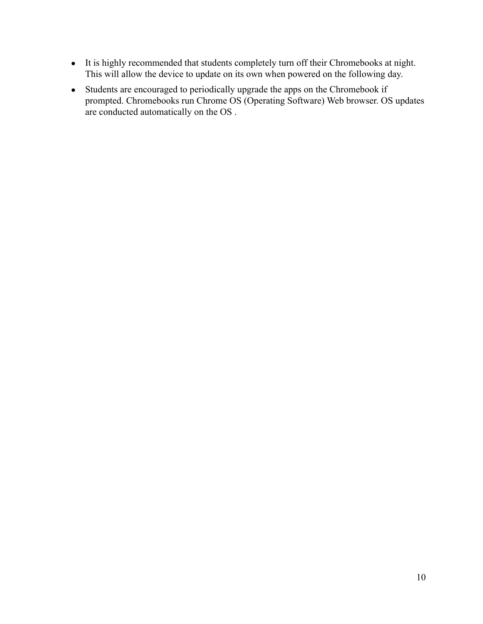- It is highly recommended that students completely turn off their Chromebooks at night. This will allow the device to update on its own when powered on the following day.
- Students are encouraged to periodically upgrade the apps on the Chromebook if prompted. Chromebooks run Chrome OS (Operating Software) Web browser. OS updates are conducted automatically on the OS .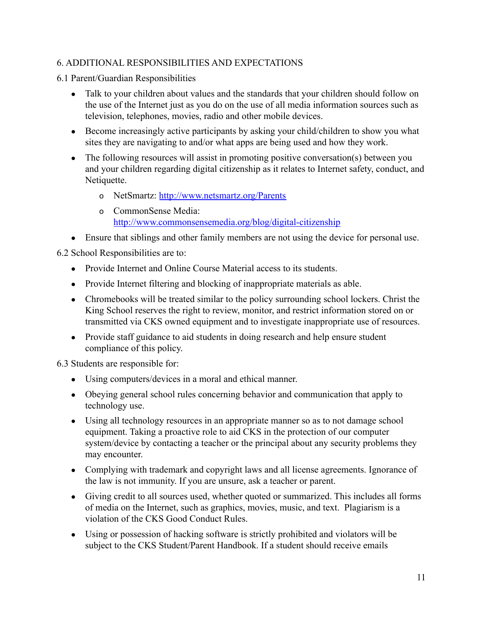## 6. ADDITIONAL RESPONSIBILITIES AND EXPECTATIONS

6.1 Parent/Guardian Responsibilities

- Talk to your children about values and the standards that your children should follow on the use of the Internet just as you do on the use of all media information sources such as television, telephones, movies, radio and other mobile devices.
- Become increasingly active participants by asking your child/children to show you what sites they are navigating to and/or what apps are being used and how they work.
- The following resources will assist in promoting positive conversation(s) between you and your children regarding digital citizenship as it relates to Internet safety, conduct, and Netiquette.
	- o NetSmartz: <http://www.netsmartz.org/Parents>
	- o CommonSense Media: <http://www.commonsensemedia.org/blog/digital-citizenship>
- Ensure that siblings and other family members are not using the device for personal use.

6.2 School Responsibilities are to:

- Provide Internet and Online Course Material access to its students.
- Provide Internet filtering and blocking of inappropriate materials as able.
- Chromebooks will be treated similar to the policy surrounding school lockers. Christ the King School reserves the right to review, monitor, and restrict information stored on or transmitted via CKS owned equipment and to investigate inappropriate use of resources.
- Provide staff guidance to aid students in doing research and help ensure student compliance of this policy.

6.3 Students are responsible for:

- Using computers/devices in a moral and ethical manner.
- Obeying general school rules concerning behavior and communication that apply to technology use.
- Using all technology resources in an appropriate manner so as to not damage school equipment. Taking a proactive role to aid CKS in the protection of our computer system/device by contacting a teacher or the principal about any security problems they may encounter.
- Complying with trademark and copyright laws and all license agreements. Ignorance of the law is not immunity. If you are unsure, ask a teacher or parent.
- Giving credit to all sources used, whether quoted or summarized. This includes all forms of media on the Internet, such as graphics, movies, music, and text. Plagiarism is a violation of the CKS Good Conduct Rules.
- Using or possession of hacking software is strictly prohibited and violators will be subject to the CKS Student/Parent Handbook. If a student should receive emails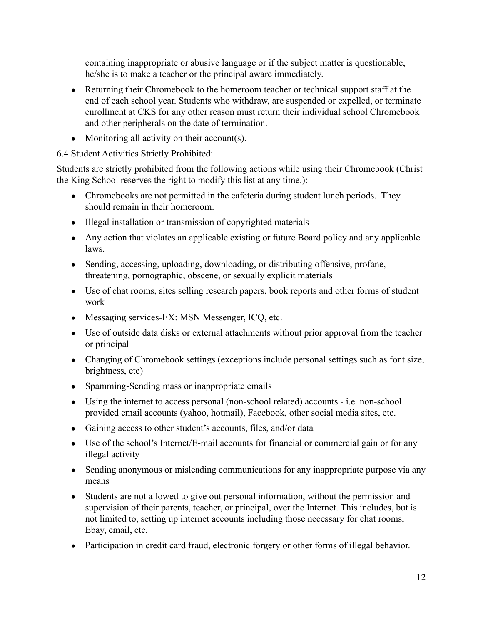containing inappropriate or abusive language or if the subject matter is questionable, he/she is to make a teacher or the principal aware immediately.

- Returning their Chromebook to the homeroom teacher or technical support staff at the end of each school year. Students who withdraw, are suspended or expelled, or terminate enrollment at CKS for any other reason must return their individual school Chromebook and other peripherals on the date of termination.
- Monitoring all activity on their account(s).

6.4 Student Activities Strictly Prohibited:

Students are strictly prohibited from the following actions while using their Chromebook (Christ the King School reserves the right to modify this list at any time.):

- Chromebooks are not permitted in the cafeteria during student lunch periods. They should remain in their homeroom.
- Illegal installation or transmission of copyrighted materials
- Any action that violates an applicable existing or future Board policy and any applicable laws.
- Sending, accessing, uploading, downloading, or distributing offensive, profane, threatening, pornographic, obscene, or sexually explicit materials
- Use of chat rooms, sites selling research papers, book reports and other forms of student work
- Messaging services-EX: MSN Messenger, ICO, etc.
- Use of outside data disks or external attachments without prior approval from the teacher or principal
- Changing of Chromebook settings (exceptions include personal settings such as font size, brightness, etc)
- Spamming-Sending mass or inappropriate emails
- Using the internet to access personal (non-school related) accounts i.e. non-school provided email accounts (yahoo, hotmail), Facebook, other social media sites, etc.
- Gaining access to other student's accounts, files, and/or data
- Use of the school's Internet/E-mail accounts for financial or commercial gain or for any illegal activity
- Sending anonymous or misleading communications for any inappropriate purpose via any means
- Students are not allowed to give out personal information, without the permission and supervision of their parents, teacher, or principal, over the Internet. This includes, but is not limited to, setting up internet accounts including those necessary for chat rooms, Ebay, email, etc.
- Participation in credit card fraud, electronic forgery or other forms of illegal behavior.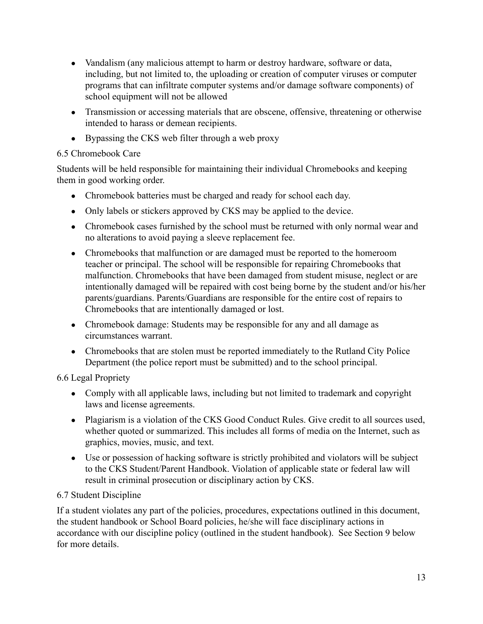- Vandalism (any malicious attempt to harm or destroy hardware, software or data, including, but not limited to, the uploading or creation of computer viruses or computer programs that can infiltrate computer systems and/or damage software components) of school equipment will not be allowed
- Transmission or accessing materials that are obscene, offensive, threatening or otherwise intended to harass or demean recipients.
- Bypassing the CKS web filter through a web proxy

# 6.5 Chromebook Care

Students will be held responsible for maintaining their individual Chromebooks and keeping them in good working order.

- Chromebook batteries must be charged and ready for school each day.
- Only labels or stickers approved by CKS may be applied to the device.
- Chromebook cases furnished by the school must be returned with only normal wear and no alterations to avoid paying a sleeve replacement fee.
- Chromebooks that malfunction or are damaged must be reported to the homeroom teacher or principal. The school will be responsible for repairing Chromebooks that malfunction. Chromebooks that have been damaged from student misuse, neglect or are intentionally damaged will be repaired with cost being borne by the student and/or his/her parents/guardians. Parents/Guardians are responsible for the entire cost of repairs to Chromebooks that are intentionally damaged or lost.
- Chromebook damage: Students may be responsible for any and all damage as circumstances warrant.
- Chromebooks that are stolen must be reported immediately to the Rutland City Police Department (the police report must be submitted) and to the school principal.

6.6 Legal Propriety

- Comply with all applicable laws, including but not limited to trademark and copyright laws and license agreements.
- Plagiarism is a violation of the CKS Good Conduct Rules. Give credit to all sources used, whether quoted or summarized. This includes all forms of media on the Internet, such as graphics, movies, music, and text.
- Use or possession of hacking software is strictly prohibited and violators will be subject to the CKS Student/Parent Handbook. Violation of applicable state or federal law will result in criminal prosecution or disciplinary action by CKS.

# 6.7 Student Discipline

If a student violates any part of the policies, procedures, expectations outlined in this document, the student handbook or School Board policies, he/she will face disciplinary actions in accordance with our discipline policy (outlined in the student handbook). See Section 9 below for more details.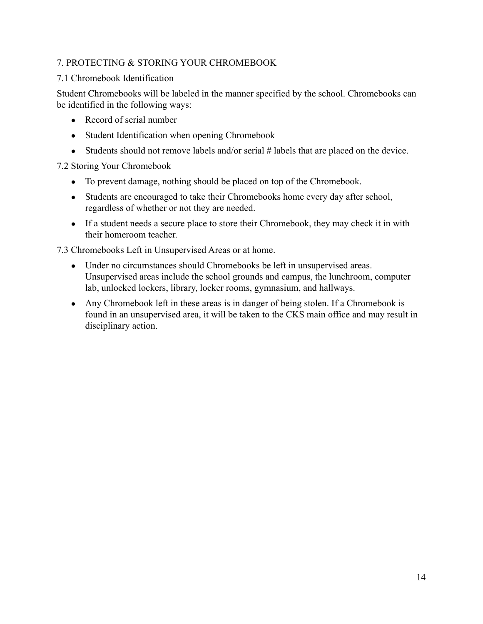## 7. PROTECTING & STORING YOUR CHROMEBOOK

#### 7.1 Chromebook Identification

Student Chromebooks will be labeled in the manner specified by the school. Chromebooks can be identified in the following ways:

- Record of serial number
- Student Identification when opening Chromebook
- Students should not remove labels and/or serial # labels that are placed on the device.

#### 7.2 Storing Your Chromebook

- To prevent damage, nothing should be placed on top of the Chromebook.
- Students are encouraged to take their Chromebooks home every day after school, regardless of whether or not they are needed.
- If a student needs a secure place to store their Chromebook, they may check it in with their homeroom teacher.

7.3 Chromebooks Left in Unsupervised Areas or at home.

- Under no circumstances should Chromebooks be left in unsupervised areas. Unsupervised areas include the school grounds and campus, the lunchroom, computer lab, unlocked lockers, library, locker rooms, gymnasium, and hallways.
- Any Chromebook left in these areas is in danger of being stolen. If a Chromebook is found in an unsupervised area, it will be taken to the CKS main office and may result in disciplinary action.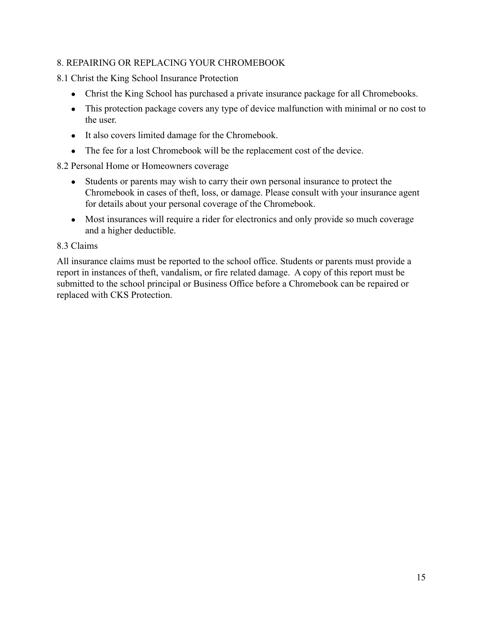## 8. REPAIRING OR REPLACING YOUR CHROMEBOOK

8.1 Christ the King School Insurance Protection

- Christ the King School has purchased a private insurance package for all Chromebooks.
- This protection package covers any type of device malfunction with minimal or no cost to the user.
- It also covers limited damage for the Chromebook.
- The fee for a lost Chromebook will be the replacement cost of the device.

#### 8.2 Personal Home or Homeowners coverage

- Students or parents may wish to carry their own personal insurance to protect the Chromebook in cases of theft, loss, or damage. Please consult with your insurance agent for details about your personal coverage of the Chromebook.
- Most insurances will require a rider for electronics and only provide so much coverage and a higher deductible.

#### 8.3 Claims

All insurance claims must be reported to the school office. Students or parents must provide a report in instances of theft, vandalism, or fire related damage. A copy of this report must be submitted to the school principal or Business Office before a Chromebook can be repaired or replaced with CKS Protection.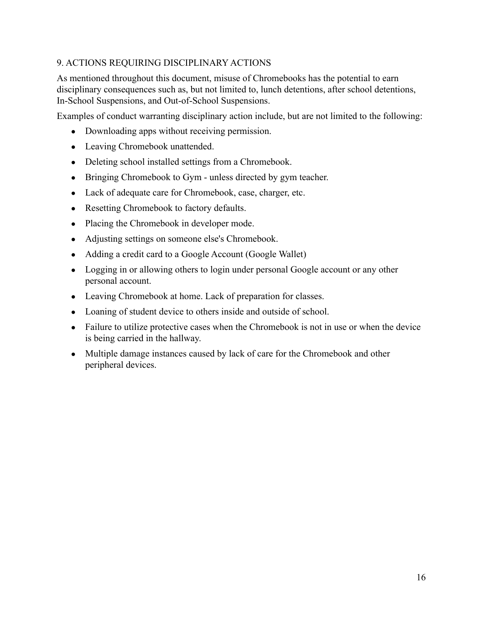# 9. ACTIONS REQUIRING DISCIPLINARY ACTIONS

As mentioned throughout this document, misuse of Chromebooks has the potential to earn disciplinary consequences such as, but not limited to, lunch detentions, after school detentions, In-School Suspensions, and Out-of-School Suspensions.

Examples of conduct warranting disciplinary action include, but are not limited to the following:

- Downloading apps without receiving permission.
- Leaving Chromebook unattended.
- Deleting school installed settings from a Chromebook.
- Bringing Chromebook to Gym unless directed by gym teacher.
- Lack of adequate care for Chromebook, case, charger, etc.
- Resetting Chromebook to factory defaults.
- Placing the Chromebook in developer mode.
- Adjusting settings on someone else's Chromebook.
- Adding a credit card to a Google Account (Google Wallet)
- Logging in or allowing others to login under personal Google account or any other personal account.
- Leaving Chromebook at home. Lack of preparation for classes.
- Loaning of student device to others inside and outside of school.
- Failure to utilize protective cases when the Chromebook is not in use or when the device is being carried in the hallway.
- Multiple damage instances caused by lack of care for the Chromebook and other peripheral devices.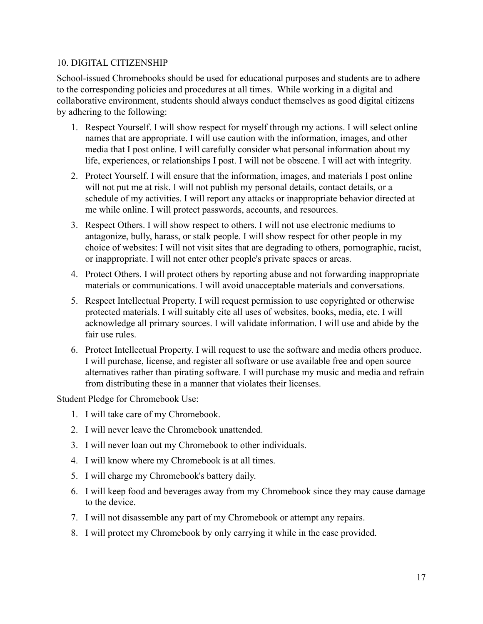#### 10. DIGITAL CITIZENSHIP

School-issued Chromebooks should be used for educational purposes and students are to adhere to the corresponding policies and procedures at all times. While working in a digital and collaborative environment, students should always conduct themselves as good digital citizens by adhering to the following:

- 1. Respect Yourself. I will show respect for myself through my actions. I will select online names that are appropriate. I will use caution with the information, images, and other media that I post online. I will carefully consider what personal information about my life, experiences, or relationships I post. I will not be obscene. I will act with integrity.
- 2. Protect Yourself. I will ensure that the information, images, and materials I post online will not put me at risk. I will not publish my personal details, contact details, or a schedule of my activities. I will report any attacks or inappropriate behavior directed at me while online. I will protect passwords, accounts, and resources.
- 3. Respect Others. I will show respect to others. I will not use electronic mediums to antagonize, bully, harass, or stalk people. I will show respect for other people in my choice of websites: I will not visit sites that are degrading to others, pornographic, racist, or inappropriate. I will not enter other people's private spaces or areas.
- 4. Protect Others. I will protect others by reporting abuse and not forwarding inappropriate materials or communications. I will avoid unacceptable materials and conversations.
- 5. Respect Intellectual Property. I will request permission to use copyrighted or otherwise protected materials. I will suitably cite all uses of websites, books, media, etc. I will acknowledge all primary sources. I will validate information. I will use and abide by the fair use rules.
- 6. Protect Intellectual Property. I will request to use the software and media others produce. I will purchase, license, and register all software or use available free and open source alternatives rather than pirating software. I will purchase my music and media and refrain from distributing these in a manner that violates their licenses.

Student Pledge for Chromebook Use:

- 1. I will take care of my Chromebook.
- 2. I will never leave the Chromebook unattended.
- 3. I will never loan out my Chromebook to other individuals.
- 4. I will know where my Chromebook is at all times.
- 5. I will charge my Chromebook's battery daily.
- 6. I will keep food and beverages away from my Chromebook since they may cause damage to the device.
- 7. I will not disassemble any part of my Chromebook or attempt any repairs.
- 8. I will protect my Chromebook by only carrying it while in the case provided.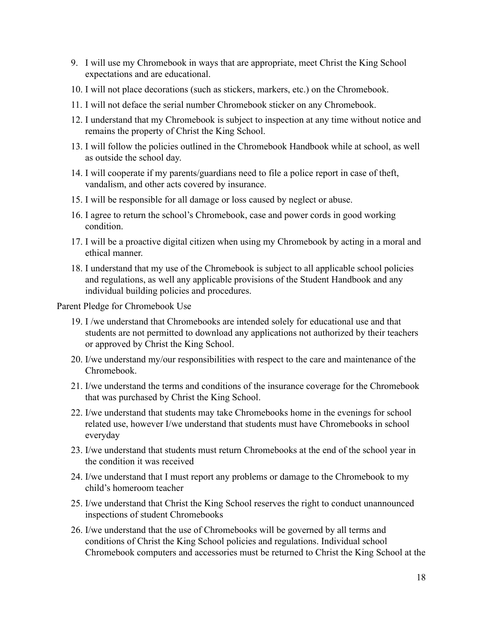- 9. I will use my Chromebook in ways that are appropriate, meet Christ the King School expectations and are educational.
- 10. I will not place decorations (such as stickers, markers, etc.) on the Chromebook.
- 11. I will not deface the serial number Chromebook sticker on any Chromebook.
- 12. I understand that my Chromebook is subject to inspection at any time without notice and remains the property of Christ the King School.
- 13. I will follow the policies outlined in the Chromebook Handbook while at school, as well as outside the school day.
- 14. I will cooperate if my parents/guardians need to file a police report in case of theft, vandalism, and other acts covered by insurance.
- 15. I will be responsible for all damage or loss caused by neglect or abuse.
- 16. I agree to return the school's Chromebook, case and power cords in good working condition.
- 17. I will be a proactive digital citizen when using my Chromebook by acting in a moral and ethical manner.
- 18. I understand that my use of the Chromebook is subject to all applicable school policies and regulations, as well any applicable provisions of the Student Handbook and any individual building policies and procedures.

Parent Pledge for Chromebook Use

- 19. I /we understand that Chromebooks are intended solely for educational use and that students are not permitted to download any applications not authorized by their teachers or approved by Christ the King School.
- 20. I/we understand my/our responsibilities with respect to the care and maintenance of the Chromebook.
- 21. I/we understand the terms and conditions of the insurance coverage for the Chromebook that was purchased by Christ the King School.
- 22. I/we understand that students may take Chromebooks home in the evenings for school related use, however I/we understand that students must have Chromebooks in school everyday
- 23. I/we understand that students must return Chromebooks at the end of the school year in the condition it was received
- 24. I/we understand that I must report any problems or damage to the Chromebook to my child's homeroom teacher
- 25. I/we understand that Christ the King School reserves the right to conduct unannounced inspections of student Chromebooks
- 26. I/we understand that the use of Chromebooks will be governed by all terms and conditions of Christ the King School policies and regulations. Individual school Chromebook computers and accessories must be returned to Christ the King School at the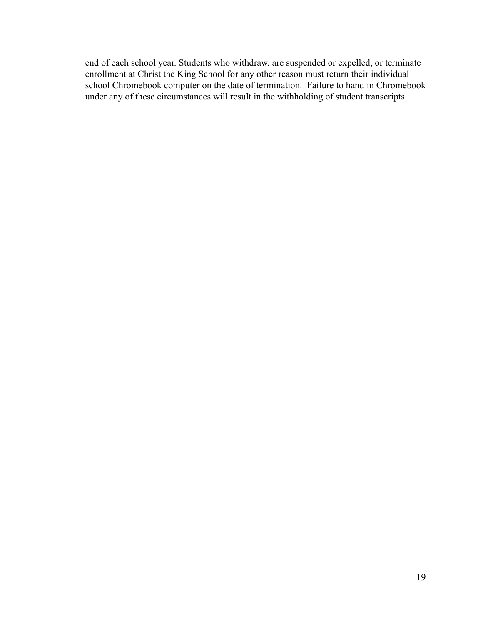end of each school year. Students who withdraw, are suspended or expelled, or terminate enrollment at Christ the King School for any other reason must return their individual school Chromebook computer on the date of termination. Failure to hand in Chromebook under any of these circumstances will result in the withholding of student transcripts.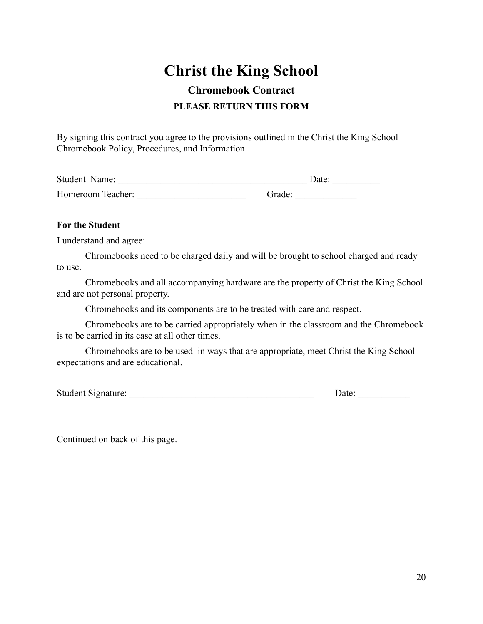# **Christ the King School**

# **Chromebook Contract PLEASE RETURN THIS FORM**

By signing this contract you agree to the provisions outlined in the Christ the King School Chromebook Policy, Procedures, and Information.

| Student Name:     |        | Date: |  |
|-------------------|--------|-------|--|
| Homeroom Teacher: | Grade: |       |  |

#### **For the Student**

I understand and agree:

Chromebooks need to be charged daily and will be brought to school charged and ready to use.

Chromebooks and all accompanying hardware are the property of Christ the King School and are not personal property.

Chromebooks and its components are to be treated with care and respect.

Chromebooks are to be carried appropriately when in the classroom and the Chromebook is to be carried in its case at all other times.

Chromebooks are to be used in ways that are appropriate, meet Christ the King School expectations and are educational.

Student Signature: \_\_\_\_\_\_\_\_\_\_\_\_\_\_\_\_\_\_\_\_\_\_\_\_\_\_\_\_\_\_\_\_\_\_\_\_\_\_\_ Date: \_\_\_\_\_\_\_\_\_\_\_

Continued on back of this page.